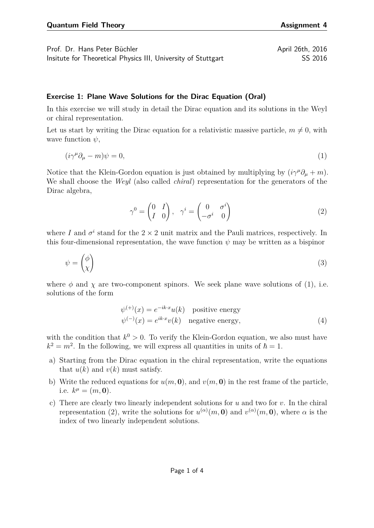Prof. Dr. Hans Peter Büchler April 26th, 2016 Insitute for Theoretical Physics III, University of Stuttgart SS 2016

## **Exercise 1: Plane Wave Solutions for the Dirac Equation (Oral)**

In this exercise we will study in detail the Dirac equation and its solutions in the Weyl or chiral representation.

Let us start by writing the Dirac equation for a relativistic massive particle,  $m \neq 0$ , with wave function *ψ*,

<span id="page-0-0"></span>
$$
(i\gamma^{\mu}\partial_{\mu} - m)\psi = 0,\tag{1}
$$

Notice that the Klein-Gordon equation is just obtained by multiplying by  $(i\gamma^{\mu}\partial_{\mu} + m)$ . We shall choose the *Weyl* (also called *chiral*) representation for the generators of the Dirac algebra,

<span id="page-0-1"></span>
$$
\gamma^0 = \begin{pmatrix} 0 & I \\ I & 0 \end{pmatrix}, \quad \gamma^i = \begin{pmatrix} 0 & \sigma^i \\ -\sigma^i & 0 \end{pmatrix} \tag{2}
$$

where *I* and  $\sigma^i$  stand for the 2  $\times$  2 unit matrix and the Pauli matrices, respectively. In this four-dimensional representation, the wave function  $\psi$  may be written as a bispinor

$$
\psi = \begin{pmatrix} \phi \\ \chi \end{pmatrix} \tag{3}
$$

where  $\phi$  and  $\chi$  are two-component spinors. We seek plane wave solutions of [\(1\)](#page-0-0), i.e. solutions of the form

$$
\psi^{(+)}(x) = e^{-ik \cdot x} u(k) \quad \text{positive energy}
$$
  

$$
\psi^{(-)}(x) = e^{ik \cdot x} v(k) \quad \text{negative energy}, \tag{4}
$$

with the condition that  $k^0 > 0$ . To verify the Klein-Gordon equation, we also must have  $k^2 = m^2$ . In the following, we will express all quantities in units of  $\hbar = 1$ .

- a) Starting from the Dirac equation in the chiral representation, write the equations that  $u(k)$  and  $v(k)$  must satisfy.
- b) Write the reduced equations for  $u(m, 0)$ , and  $v(m, 0)$  in the rest frame of the particle, i.e.  $k^{\mu} = (m, 0)$ .
- c) There are clearly two linearly independent solutions for *u* and two for *v*. In the chiral representation [\(2\)](#page-0-1), write the solutions for  $u^{(\alpha)}(m, 0)$  and  $v^{(\alpha)}(m, 0)$ , where  $\alpha$  is the index of two linearly independent solutions.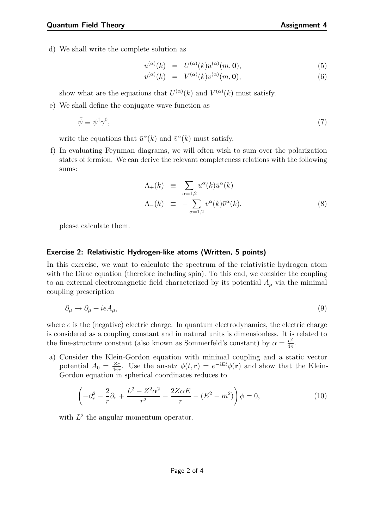d) We shall write the complete solution as

$$
u^{(\alpha)}(k) = U^{(\alpha)}(k)u^{(\alpha)}(m, 0), \tag{5}
$$

$$
v^{(\alpha)}(k) = V^{(\alpha)}(k)v^{(\alpha)}(m, \mathbf{0}), \tag{6}
$$

show what are the equations that  $U^{(\alpha)}(k)$  and  $V^{(\alpha)}(k)$  must satisfy.

e) We shall define the conjugate wave function as

$$
\bar{\psi} \equiv \psi^{\dagger} \gamma^{0},\tag{7}
$$

write the equations that  $\bar{u}^{\alpha}(k)$  and  $\bar{v}^{\alpha}(k)$  must satisfy.

f) In evaluating Feynman diagrams, we will often wish to sum over the polarization states of fermion. We can derive the relevant completeness relations with the following sums:

$$
\Lambda_{+}(k) \equiv \sum_{\alpha=1,2} u^{\alpha}(k)\bar{u}^{\alpha}(k)
$$
  
\n
$$
\Lambda_{-}(k) \equiv -\sum_{\alpha=1,2} v^{\alpha}(k)\bar{v}^{\alpha}(k).
$$
\n(8)

please calculate them.

## **Exercise 2: Relativistic Hydrogen-like atoms (Written, 5 points)**

In this exercise, we want to calculate the spectrum of the relativistic hydrogen atom with the Dirac equation (therefore including spin). To this end, we consider the coupling to an external electromagnetic field characterized by its potential  $A_\mu$  via the minimal coupling prescription

<span id="page-1-0"></span>
$$
\partial_{\mu} \to \partial_{\mu} + ieA_{\mu},\tag{9}
$$

where *e* is the (negative) electric charge. In quantum electrodynamics, the electric charge is considered as a coupling constant and in natural units is dimensionless. It is related to the fine-structure constant (also known as Sommerfeld's constant) by  $\alpha = \frac{e^2}{4\pi}$  $rac{e^2}{4\pi}$ .

a) Consider the Klein-Gordon equation with minimal coupling and a static vector potential  $A_0 = \frac{Ze}{4\pi r}$  $\frac{Ze}{4\pi r}$ . Use the ansatz  $\phi(t, \mathbf{r}) = e^{-iEt}\phi(\mathbf{r})$  and show that the Klein-Gordon equation in spherical coordinates reduces to

$$
\left(-\partial_r^2 - \frac{2}{r}\partial_r + \frac{L^2 - Z^2\alpha^2}{r^2} - \frac{2Z\alpha E}{r} - (E^2 - m^2)\right)\phi = 0,\tag{10}
$$

with  $L^2$  the angular momentum operator.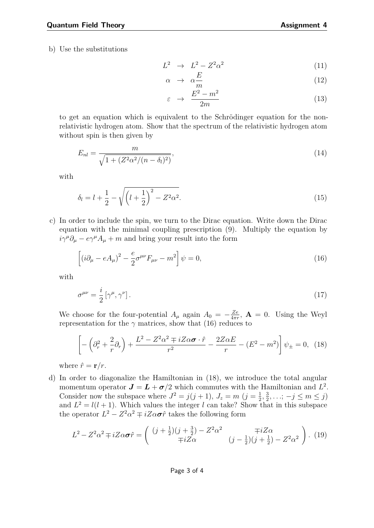b) Use the substitutions

$$
L^2 \rightarrow L^2 - Z^2 \alpha^2 \tag{11}
$$

$$
\alpha \rightarrow \alpha \frac{E}{m} \tag{12}
$$

<span id="page-2-0"></span>
$$
\varepsilon \rightarrow \frac{E^2 - m^2}{2m} \tag{13}
$$

to get an equation which is equivalent to the Schrödinger equation for the nonrelativistic hydrogen atom. Show that the spectrum of the relativistic hydrogen atom without spin is then given by

$$
E_{nl} = \frac{m}{\sqrt{1 + (Z^2 \alpha^2 / (n - \delta_l)^2)}},\tag{14}
$$

with

$$
\delta_l = l + \frac{1}{2} - \sqrt{\left(l + \frac{1}{2}\right)^2 - Z^2 \alpha^2}.
$$
\n(15)

c) In order to include the spin, we turn to the Dirac equation. Write down the Dirac equation with the minimal coupling prescription [\(9\)](#page-1-0). Multiply the equation by  $i\gamma^{\mu}\partial_{\mu} - e\gamma^{\mu}A_{\mu} + m$  and bring your result into the form

$$
\left[ (i\partial_{\mu} - eA_{\mu})^2 - \frac{e}{2}\sigma^{\mu\nu}F_{\mu\nu} - m^2 \right] \psi = 0, \qquad (16)
$$

with

$$
\sigma^{\mu\nu} = \frac{i}{2} \left[ \gamma^{\mu}, \gamma^{\nu} \right]. \tag{17}
$$

We choose for the four-potential  $A_\mu$  again  $A_0 = -\frac{Ze}{4\pi r}$  $\frac{Ze}{4\pi r}$ ,  $\mathbf{A} = 0$ . Using the Weyl representation for the  $\gamma$  matrices, show that [\(16\)](#page-2-0) reduces to

<span id="page-2-1"></span>
$$
\left[ -\left(\partial_r^2 + \frac{2}{r}\partial_r\right) + \frac{L^2 - Z^2\alpha^2 \mp iZ\alpha\sigma \cdot \hat{r}}{r^2} - \frac{2Z\alpha E}{r} - \left(E^2 - m^2\right) \right] \psi_{\pm} = 0, \tag{18}
$$

where  $\hat{r} = \mathbf{r}/r$ .

d) In order to diagonalize the Hamiltonian in [\(18\)](#page-2-1), we introduce the total angular momentum operator  $J = L + \sigma/2$  which commutes with the Hamiltonian and  $L^2$ . Consider now the subspace where  $J^2 = j(j+1), J_z = m$   $(j = \frac{1}{2})$  $\frac{1}{2}$ ,  $\frac{3}{2}$  $\frac{3}{2}, \ldots$ ;  $-j \leq m \leq j$ ) and  $L^2 = l(l+1)$ . Which values the integer *l* can take? Show that in this subspace the operator  $L^2 - Z^2 \alpha^2 \mp iZ \alpha \sigma \hat{r}$  takes the following form

$$
L^{2} - Z^{2} \alpha^{2} \mp iZ \alpha \sigma \hat{r} = \begin{pmatrix} (j + \frac{1}{2})(j + \frac{3}{2}) - Z^{2} \alpha^{2} & \mp iZ \alpha \\ \mp iZ \alpha & (j - \frac{1}{2})(j + \frac{1}{2}) - Z^{2} \alpha^{2} \end{pmatrix}.
$$
 (19)